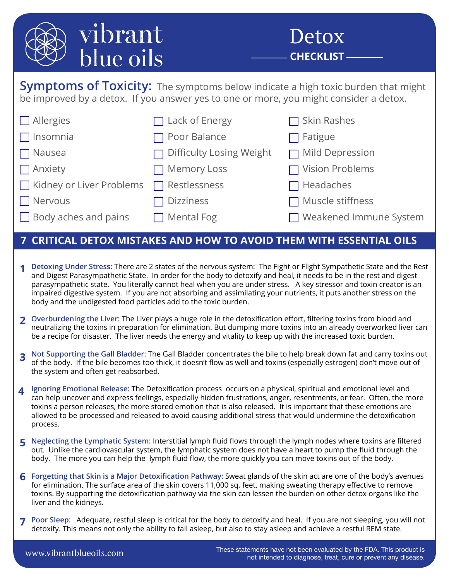

**Symptoms of Toxicity:** The symptoms below indicate a high toxic burden that might be improved by a detox. If you answer yes to one or more, you might consider a detox.

| $\Box$ Allergies                        | $\Box$ Lack of Energy           | $\Box$ Skin Rashes       |
|-----------------------------------------|---------------------------------|--------------------------|
| $\Box$ Insomnia                         | $\Box$ Poor Balance             | $\Box$ Fatigue           |
| $\Box$ Nausea                           | $\Box$ Difficulty Losing Weight | $\Box$ Mild Depression   |
| $\Box$ Anxiety                          | $\Box$ Memory Loss              | $\Box$ Vision Problems   |
| Kidney or Liver Problems   Restlessness |                                 | $\Box$ Headaches         |
| $\Box$ Nervous                          | <b>Dizziness</b>                | $\Box$ Muscle stiffness  |
| $\Box$ Body aches and pains             | $\Box$ Mental Fog               | □ Weakened Immune System |

## **7 CRITICAL DETOX MISTAKES AND HOW TO AVOID THEM WITH ESSENTIAL OILS**

- **1** Detoxing Under Stress: There are 2 states of the nervous system: The Fight or Flight Sympathetic State and the Rest and the Rest and the Rest and the Rest and the Rest and the Rest and the rest and the rest and the res and Digest Parasympathetic State. In order for the body to detoxify and heal, it needs to be in the rest and digest parasympathetic state. You literally cannot heal when you are under stress. A key stressor and toxin creator is an impaired digestive system. If you are not absorbing and assimilating your nutrients, it puts another stress on the body and the undigested food particles add to the toxic burden.
- **Overburdening the Liver:** The Liver plays a huge role in the detoxification effort, filtering toxins from blood and **2** neutralizing the toxins in preparation for elimination. But dumping more toxins into an already overworked liver can be a recipe for disaster. The liver needs the energy and vitality to keep up with the increased toxic burden.
- **3** Not Supporting the Gall Bladder: The Gall Bladder concentrates the bile to help break down fat and carry toxins out<br>**3** of the body of the bile becomes too thick it doesn't flow as well and toxins (especially estrogen) of the body. If the bile becomes too thick, it doesn't flow as well and toxins (especially estrogen) don't move out of the system and often get reabsorbed.
- **Ignoring Emotional Release:** The Detoxification process occurs on a physical, spiritual and emotional level and **4** can help uncover and express feelings, especially hidden frustrations, anger, resentments, or fear. Often, the more toxins a person releases, the more stored emotion that is also released. It is important that these emotions are allowed to be processed and released to avoid causing additional stress that would undermine the detoxification process.
- **Neglecting the Lymphatic System:** Interstitial lymph fluid flows through the lymph nodes where toxins are filtered **5** out. Unlike the cardiovascular system, the lymphatic system does not have a heart to pump the fluid through the body. The more you can help the lymph fluid flow, the more quickly you can move toxins out of the body.
- **Forgetting that Skin is a Major Detoxification Pathway:** Sweat glands of the skin act are one of the body's avenues **6** for elimination. The surface area of the skin covers 11,000 sq. feet, making sweating therapy effective to remove toxins. By supporting the detoxification pathway via the skin can lessen the burden on other detox organs like the liver and the kidneys.
- **Poor Sleep:** Adequate, restful sleep is critical for the body to detoxify and heal. If you are not sleeping, you will not **7**detoxify. This means not only the ability to fall asleep, but also to stay asleep and achieve a restful REM state.